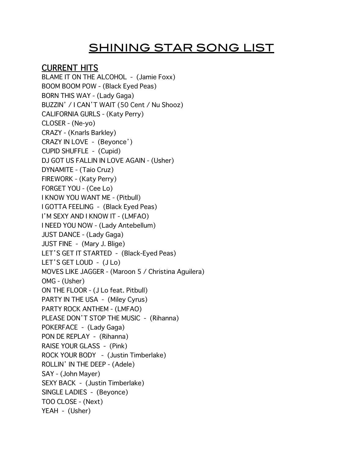# SHINING STAR SONG LIST

## **CURRENT HITS**

BLAME IT ON THE ALCOHOL - (Jamie Foxx) BOOM BOOM POW - (Black Eyed Peas) BORN THIS WAY - (Lady Gaga) BUZZIN' / I CAN'T WAIT (50 Cent / Nu Shooz) CALIFORNIA GURLS - (Katy Perry) CLOSER - (Ne-yo) CRAZY - (Knarls Barkley) CRAZY IN LOVE - (Beyonce') CUPID SHUFFLE - (Cupid) DJ GOT US FALLIN IN LOVE AGAIN - (Usher) DYNAMITE - (Taio Cruz) FIREWORK - (Katy Perry) FORGET YOU - (Cee Lo) I KNOW YOU WANT ME - (Pitbull) I GOTTA FEELING - (Black Eyed Peas) I'M SEXY AND I KNOW IT - (LMFAO) I NEED YOU NOW - (Lady Antebellum) JUST DANCE - (Lady Gaga) JUST FINE - (Mary J. Blige) LET'S GET IT STARTED - (Black-Eyed Peas) LET'S GET LOUD - (J Lo) MOVES LIKE JAGGER - (Maroon 5 / Christina Aguilera) OMG - (Usher) ON THE FLOOR - (J Lo feat. Pitbull) PARTY IN THE USA - (Miley Cyrus) PARTY ROCK ANTHEM - (LMFAO) PLEASE DON'T STOP THE MUSIC - (Rihanna) POKERFACE - (Lady Gaga) PON DE REPLAY - (Rihanna) RAISE YOUR GLASS - (Pink) ROCK YOUR BODY - (Justin Timberlake) ROLLIN' IN THE DEEP - (Adele) SAY - (John Mayer) SEXY BACK - (Justin Timberlake) SINGLE LADIES - (Beyonce) TOO CLOSE - (Next) YEAH - (Usher)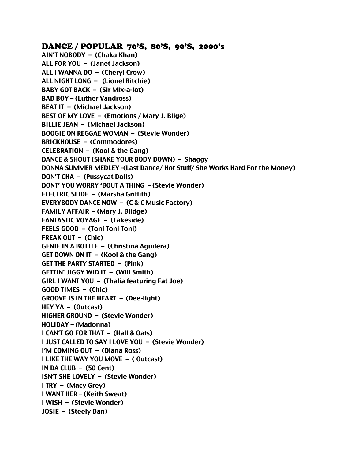#### DANCE / POPULAR 70'S, 80'S, 90'S, 2000's

AIN'T NOBODY – (Chaka Khan) ALL FOR YOU – (Janet Jackson) ALL I WANNA DO – (Cheryl Crow) ALL NIGHT LONG – (Lionel Ritchie) BABY GOT BACK – (Sir Mix-a-lot) BAD BOY – (Luther Vandross) BEAT IT – (Michael Jackson) BEST OF MY LOVE – (Emotions / Mary J. Blige) BILLIE JEAN – (Michael Jackson) BOOGIE ON REGGAE WOMAN – (Stevie Wonder) BRICKHOUSE – (Commodores) CELEBRATION – (Kool & the Gang) DANCE & SHOUT (SHAKE YOUR BODY DOWN) – Shaggy DONNA SUMMER MEDLEY -(Last Dance/ Hot Stuff/ She Works Hard For the Money) DON'T CHA – (Pussycat Dolls) DONT' YOU WORRY 'BOUT A THING – (Stevie Wonder) ELECTRIC SLIDE – (Marsha Griffith) EVERYBODY DANCE NOW – (C & C Music Factory) FAMILY AFFAIR – (Mary J. Blidge) FANTASTIC VOYAGE – (Lakeside) FEELS GOOD – (Toni Toni Toni) FREAK OUT – (Chic) GENIE IN A BOTTLE – (Christina Aguilera) GET DOWN ON IT – (Kool & the Gang) GET THE PARTY STARTED – (Pink) GETTIN' JIGGY WID IT – (Will Smith) GIRL I WANT YOU – (Thalia featuring Fat Joe) GOOD TIMES – (Chic) GROOVE IS IN THE HEART – (Dee-light) HEY YA – (Outcast) HIGHER GROUND – (Stevie Wonder) HOLIDAY – (Madonna) I CAN'T GO FOR THAT – (Hall & Oats) I JUST CALLED TO SAY I LOVE YOU – (Stevie Wonder) I'M COMING OUT – (Diana Ross) I LIKE THE WAY YOU MOVE – ( Outcast) IN DA CLUB – (50 Cent) ISN'T SHE LOVELY – (Stevie Wonder) I TRY – (Macy Grey) I WANT HER – (Keith Sweat) I WISH – (Stevie Wonder) JOSIE – (Steely Dan)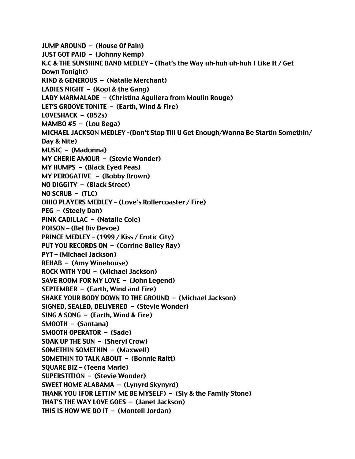JUMP AROUND – (House Of Pain) JUST GOT PAID – (Johnny Kemp) K.C & THE SUNSHINE BAND MEDLEY – (That's the Way uh-huh uh-huh I Like It / Get Down Tonight) KIND & GENEROUS – (Natalie Merchant) LADIES NIGHT – (Kool & the Gang) LADY MARMALADE – (Christina Aguilera from Moulin Rouge) LET'S GROOVE TONITE – (Earth, Wind & Fire) LOVESHACK – (B52s) MAMBO  $#5 - ($ Lou Bega $)$ MICHAEL JACKSON MEDLEY -(Don't Stop Till U Get Enough/Wanna Be Startin Somethin/ Day & Nite) MUSIC – (Madonna) MY CHERIE AMOUR – (Stevie Wonder) MY HUMPS – (Black Eyed Peas) MY PEROGATIVE – (Bobby Brown) NO DIGGITY – (Black Street) NO SCRUB – (TLC) OHIO PLAYERS MEDLEY – (Love's Rollercoaster / Fire) PEG – (Steely Dan) PINK CADILLAC – (Natalie Cole) POISON – (Bel Biv Devoe) PRINCE MEDLEY – (1999 / Kiss / Erotic City) PUT YOU RECORDS ON – (Corrine Bailey Ray) PYT – (Michael Jackson) REHAB – (Amy Winehouse) ROCK WITH YOU – (Michael Jackson) SAVE ROOM FOR MY LOVE – (John Legend) SEPTEMBER – (Earth, Wind and Fire) SHAKE YOUR BODY DOWN TO THE GROUND – (Michael Jackson) SIGNED, SEALED, DELIVERED – (Stevie Wonder) SING A SONG – (Earth, Wind & Fire) SMOOTH – (Santana) SMOOTH OPERATOR – (Sade) SOAK UP THE SUN – (Sheryl Crow) SOMETHIN SOMETHIN – (Maxwell) SOMETHIN TO TALK ABOUT – (Bonnie Raitt) SQUARE BIZ – (Teena Marie) SUPERSTITION – (Stevie Wonder) SWEET HOME ALABAMA – (Lynyrd Skynyrd) THANK YOU (FOR LETTIN' ME BE MYSELF) – (Sly & the Family Stone) THAT'S THE WAY LOVE GOES – (Janet Jackson) THIS IS HOW WE DO IT – (Montell Jordan)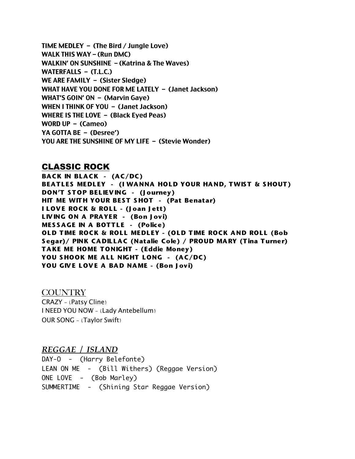TIME MEDLEY – (The Bird / Jungle Love) WALK THIS WAY – (Run DMC) WALKIN' ON SUNSHINE – (Katrina & The Waves) WATERFALLS – (T.L.C.) WE ARE FAMILY – (Sister Sledge) WHAT HAVE YOU DONE FOR ME LATELY – (Janet Jackson) WHAT'S GOIN' ON – (Marvin Gaye) WHEN I THINK OF YOU – (Janet Jackson) WHERE IS THE LOVE – (Black Eyed Peas) WORD UP – (Cameo) YA GOTTA BE – (Desree') YOU ARE THE SUNSHINE OF MY LIFE – (Stevie Wonder)

#### CLASSIC ROCK

**BACK IN BLACK - (AC/DC) BEATLES MEDLEY - (I WANNA HOLD YOUR HAND, TWIST & SHOUT) DON'T S T OP BEL IEV ING - (J ourney) HIT ME WITH YOUR BEST SHOT - (Pat Benatar) ILOVE ROCK & ROLL - (Joan Jett) LIVING ON A PRAYER - (Bon Jovi) MESSAGE IN A BOTTLE - (Police) OLD TIME ROCK & ROLL MEDLEY - (OLD TIME ROCK AND ROLL (Bob** Segar)/ PINK CADILLAC (Natalie Cole) / PROUD MARY (Tina Turner) TAKE ME HOME TONIGHT - (Eddie Money) **YOU SHOOK ME ALL NIGHT LONG - (AC/DC)** YOU GIVE LOVE A BAD NAME - (Bon Jovi)

**COUNTRY** CRAZY - (Patsy Cline) I NEED YOU NOW - (Lady Antebellum) OUR SONG - (Taylor Swift)

*REGGAE / ISLAND*

DAY-0 - (Harry Belefonte) LEAN ON ME - (Bill Withers) (Reggae Version) ONE LOVE - (Bob Marley) SUMMERTIME - (Shining Star Reggae Version)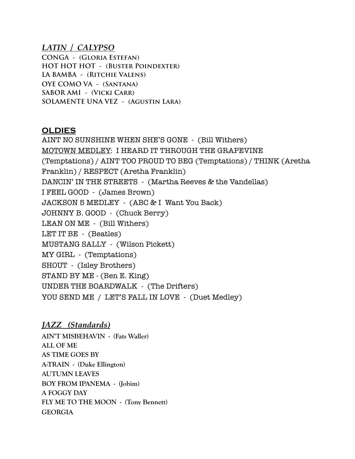### *LATIN / CALYPSO*

**CONGA - (Gloria Estefan) HOT HOT HOT - (Buster Poindexter) LA BAMBA - (Ritchie Valens) OYE COMO VA - (Santana) SABOR AMI - (Vicki Carr) SOLAMENTE UNA VEZ - (Agustin Lara)**

## **OLDIES**

AINT NO SUNSHINE WHEN SHE'S GONE - (Bill Withers) MOTOWN MEDLEY: I HEARD IT THROUGH THE GRAPEVINE (Temptations) / AINT TOO PROUD TO BEG (Temptations) / THINK (Aretha Franklin) / RESPECT (Aretha Franklin) DANCIN' IN THE STREETS - (Martha Reeves & the Vandellas) I FEEL GOOD - (James Brown) JACKSON 5 MEDLEY - (ABC & I Want You Back) JOHNNY B. GOOD - (Chuck Berry) LEAN ON ME - (Bill Withers) LET IT BE - (Beatles) MUSTANG SALLY - (Wilson Pickett) MY GIRL - (Temptations) SHOUT - (Isley Brothers) STAND BY ME - (Ben E. King) UNDER THE BOARDWALK - (The Drifters) YOU SEND ME / LET'S FALL IN LOVE - (Duet Medley)

# *JAZZ (Standards)*

**AIN'T MISBEHAVIN - (Fats Waller) ALL OF ME AS TIME GOES BY A-TRAIN - (Duke Ellington) AUTUMN LEAVES BOY FROM IPANEMA - (Jobim) A FOGGY DAY FLY ME TO THE MOON - (Tony Bennett) GEORGIA**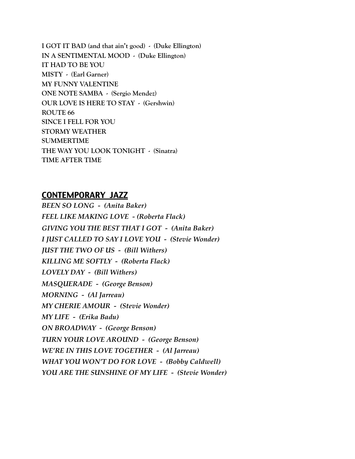**I GOT IT BAD (and that ain't good) - (Duke Ellington) IN A SENTIMENTAL MOOD - (Duke Ellington) IT HAD TO BE YOU MISTY - (Earl Garner) MY FUNNY VALENTINE ONE NOTE SAMBA - (Sergio Mendez) OUR LOVE IS HERE TO STAY - (Gershwin) ROUTE 66 SINCE I FELL FOR YOU STORMY WEATHER SUMMERTIME THE WAY YOU LOOK TONIGHT - (Sinatra) TIME AFTER TIME**

# CONTEMPORARY JAZZ

*BEEN SO LONG - (Anita Baker) FEEL LIKE MAKING LOVE - (Roberta Flack) GIVING YOU THE BEST THAT I GOT - (Anita Baker) I JUST CALLED TO SAY I LOVE YOU - (Stevie Wonder) JUST THE TWO OF US - (Bill Withers) KILLING ME SOFTLY - (Roberta Flack) LOVELY DAY - (Bill Withers) MASQUERADE - (George Benson) MORNING - (Al Jarreau) MY CHERIE AMOUR - (Stevie Wonder) MY LIFE - (Erika Badu) ON BROADWAY - (George Benson) TURN YOUR LOVE AROUND - (George Benson) WE'RE IN THIS LOVE TOGETHER - (Al Jarreau) WHAT YOU WON'T DO FOR LOVE - (Bobby Caldwell) YOU ARE THE SUNSHINE OF MY LIFE - (Stevie Wonder)*